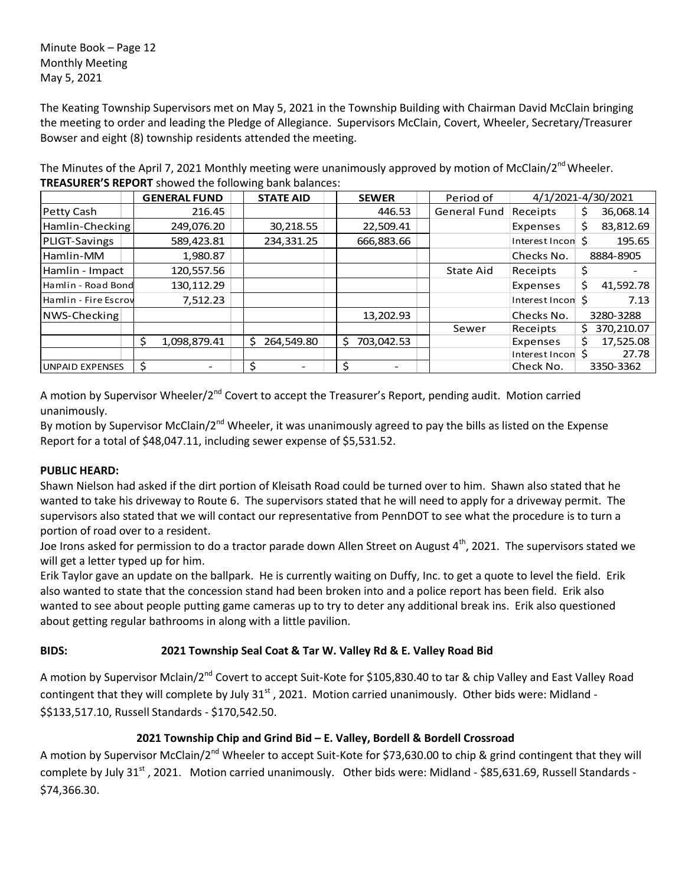Minute Book – Page 12 Monthly Meeting May 5, 2021

The Keating Township Supervisors met on May 5, 2021 in the Township Building with Chairman David McClain bringing the meeting to order and leading the Pledge of Allegiance. Supervisors McClain, Covert, Wheeler, Secretary/Treasurer Bowser and eight (8) township residents attended the meeting.

The Minutes of the April 7, 2021 Monthly meeting were unanimously approved by motion of McClain/2<sup>nd</sup> Wheeler. **TREASURER'S REPORT** showed the following bank balances:

|                        | <b>GENERAL FUND</b> |    | <b>STATE AID</b><br><b>SEWER</b> |  | Period of        | 4/1/2021-4/30/2021  |                   |    |            |
|------------------------|---------------------|----|----------------------------------|--|------------------|---------------------|-------------------|----|------------|
| Petty Cash             | 216.45              |    |                                  |  | 446.53           | <b>General Fund</b> | Receipts          | S  | 36,068.14  |
| Hamlin-Checking        | 249,076.20          |    | 30,218.55                        |  | 22,509.41        |                     | Expenses          | Ś. | 83,812.69  |
| PLIGT-Savings          | 589,423.81          |    | 234,331.25                       |  | 666,883.66       |                     | Interest Incon S  |    | 195.65     |
| Hamlin-MM              | 1,980.87            |    |                                  |  |                  |                     | Checks No.        |    | 8884-8905  |
| Hamlin - Impact        | 120,557.56          |    |                                  |  |                  | State Aid           | Receipts          | \$ |            |
| Hamlin - Road Bond     | 130, 112.29         |    |                                  |  |                  |                     | Expenses          | Ś  | 41,592.78  |
| Hamlin - Fire Escrov   | 7,512.23            |    |                                  |  |                  |                     | Interest Incon \$ |    | 7.13       |
| NWS-Checking           |                     |    |                                  |  | 13,202.93        |                     | Checks No.        |    | 3280-3288  |
|                        |                     |    |                                  |  |                  | Sewer               | Receipts          | S  | 370,210.07 |
|                        | \$<br>1,098,879.41  | S. | 264,549.80                       |  | 703,042.53<br>Ŝ. |                     | Expenses          | Ś. | 17,525.08  |
|                        |                     |    |                                  |  |                  |                     | Interest Incon \$ |    | 27.78      |
| <b>UNPAID EXPENSES</b> | \$                  |    |                                  |  | Ś                |                     | Check No.         |    | 3350-3362  |

A motion by Supervisor Wheeler/2<sup>nd</sup> Covert to accept the Treasurer's Report, pending audit. Motion carried unanimously.

By motion by Supervisor McClain/2<sup>nd</sup> Wheeler, it was unanimously agreed to pay the bills as listed on the Expense Report for a total of \$48,047.11, including sewer expense of \$5,531.52.

# **PUBLIC HEARD:**

Shawn Nielson had asked if the dirt portion of Kleisath Road could be turned over to him. Shawn also stated that he wanted to take his driveway to Route 6. The supervisors stated that he will need to apply for a driveway permit. The supervisors also stated that we will contact our representative from PennDOT to see what the procedure is to turn a portion of road over to a resident.

Joe Irons asked for permission to do a tractor parade down Allen Street on August  $4^{th}$ , 2021. The supervisors stated we will get a letter typed up for him.

Erik Taylor gave an update on the ballpark. He is currently waiting on Duffy, Inc. to get a quote to level the field. Erik also wanted to state that the concession stand had been broken into and a police report has been field. Erik also wanted to see about people putting game cameras up to try to deter any additional break ins. Erik also questioned about getting regular bathrooms in along with a little pavilion.

# **BIDS: 2021 Township Seal Coat & Tar W. Valley Rd & E. Valley Road Bid**

A motion by Supervisor Mclain/2<sup>nd</sup> Covert to accept Suit-Kote for \$105,830.40 to tar & chip Valley and East Valley Road contingent that they will complete by July 31<sup>st</sup>, 2021. Motion carried unanimously. Other bids were: Midland -\$\$133,517.10, Russell Standards - \$170,542.50.

# **2021 Township Chip and Grind Bid – E. Valley, Bordell & Bordell Crossroad**

A motion by Supervisor McClain/2<sup>nd</sup> Wheeler to accept Suit-Kote for \$73,630.00 to chip & grind contingent that they will complete by July 31<sup>st</sup>, 2021. Motion carried unanimously. Other bids were: Midland - \$85,631.69, Russell Standards -\$74,366.30.